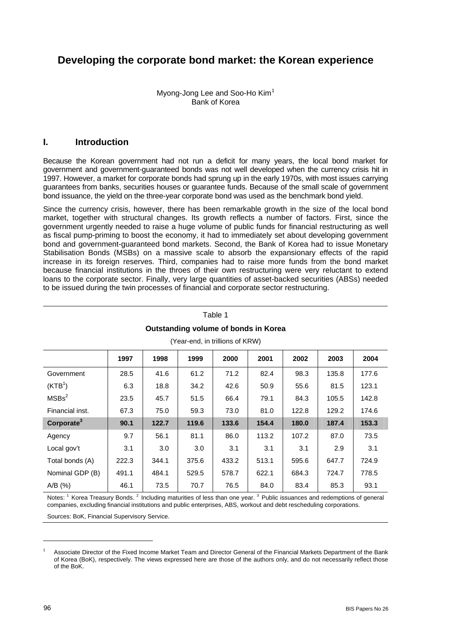# **Developing the corporate bond market: the Korean experience**

Myong-Jong Lee and Soo-Ho Kim<sup>[1](#page-0-0)</sup> Bank of Korea

# **I. Introduction**

Because the Korean government had not run a deficit for many years, the local bond market for government and government-guaranteed bonds was not well developed when the currency crisis hit in 1997. However, a market for corporate bonds had sprung up in the early 1970s, with most issues carrying guarantees from banks, securities houses or guarantee funds. Because of the small scale of government bond issuance, the yield on the three-year corporate bond was used as the benchmark bond yield.

Since the currency crisis, however, there has been remarkable growth in the size of the local bond market, together with structural changes. Its growth reflects a number of factors. First, since the government urgently needed to raise a huge volume of public funds for financial restructuring as well as fiscal pump-priming to boost the economy, it had to immediately set about developing government bond and government-guaranteed bond markets. Second, the Bank of Korea had to issue Monetary Stabilisation Bonds (MSBs) on a massive scale to absorb the expansionary effects of the rapid increase in its foreign reserves. Third, companies had to raise more funds from the bond market because financial institutions in the throes of their own restructuring were very reluctant to extend loans to the corporate sector. Finally, very large quantities of asset-backed securities (ABSs) needed to be issued during the twin processes of financial and corporate sector restructuring.

Table 1

| Outstanding volume of bonds in Korea |       |       |       |       |       |       |       |       |
|--------------------------------------|-------|-------|-------|-------|-------|-------|-------|-------|
| (Year-end, in trillions of KRW)      |       |       |       |       |       |       |       |       |
|                                      | 1997  | 1998  | 1999  | 2000  | 2001  | 2002  | 2003  | 2004  |
| Government                           | 28.5  | 41.6  | 61.2  | 71.2  | 82.4  | 98.3  | 135.8 | 177.6 |
| (KTB <sup>1</sup> )                  | 6.3   | 18.8  | 34.2  | 42.6  | 50.9  | 55.6  | 81.5  | 123.1 |
| MSBs <sup>2</sup>                    | 23.5  | 45.7  | 51.5  | 66.4  | 79.1  | 84.3  | 105.5 | 142.8 |
| Financial inst.                      | 67.3  | 75.0  | 59.3  | 73.0  | 81.0  | 122.8 | 129.2 | 174.6 |
| Corporate <sup>3</sup>               | 90.1  | 122.7 | 119.6 | 133.6 | 154.4 | 180.0 | 187.4 | 153.3 |
| Agency                               | 9.7   | 56.1  | 81.1  | 86.0  | 113.2 | 107.2 | 87.0  | 73.5  |
| Local gov't                          | 3.1   | 3.0   | 3.0   | 3.1   | 3.1   | 3.1   | 2.9   | 3.1   |
| Total bonds (A)                      | 222.3 | 344.1 | 375.6 | 433.2 | 513.1 | 595.6 | 647.7 | 724.9 |
| Nominal GDP (B)                      | 491.1 | 484.1 | 529.5 | 578.7 | 622.1 | 684.3 | 724.7 | 778.5 |
| $A/B$ (%)                            | 46.1  | 73.5  | 70.7  | 76.5  | 84.0  | 83.4  | 85.3  | 93.1  |

Notes: <sup>1</sup> Korea Treasury Bonds. <sup>2</sup> Including maturities of less than one year. <sup>3</sup> Public issuances and redemptions of general companies, excluding financial institutions and public enterprises, ABS, workout and debt rescheduling corporations.

Sources: BoK, Financial Supervisory Service.

l

<span id="page-0-0"></span><sup>1</sup> Associate Director of the Fixed Income Market Team and Director General of the Financial Markets Department of the Bank of Korea (BoK), respectively. The views expressed here are those of the authors only, and do not necessarily reflect those of the BoK.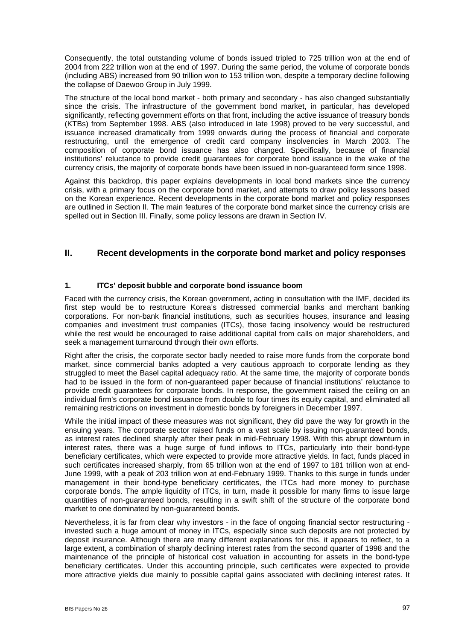Consequently, the total outstanding volume of bonds issued tripled to 725 trillion won at the end of 2004 from 222 trillion won at the end of 1997. During the same period, the volume of corporate bonds (including ABS) increased from 90 trillion won to 153 trillion won, despite a temporary decline following the collapse of Daewoo Group in July 1999.

The structure of the local bond market - both primary and secondary - has also changed substantially since the crisis. The infrastructure of the government bond market, in particular, has developed significantly, reflecting government efforts on that front, including the active issuance of treasury bonds (KTBs) from September 1998. ABS (also introduced in late 1998) proved to be very successful, and issuance increased dramatically from 1999 onwards during the process of financial and corporate restructuring, until the emergence of credit card company insolvencies in March 2003. The composition of corporate bond issuance has also changed. Specifically, because of financial institutions' reluctance to provide credit guarantees for corporate bond issuance in the wake of the currency crisis, the majority of corporate bonds have been issued in non-guaranteed form since 1998.

Against this backdrop, this paper explains developments in local bond markets since the currency crisis, with a primary focus on the corporate bond market, and attempts to draw policy lessons based on the Korean experience. Recent developments in the corporate bond market and policy responses are outlined in Section II. The main features of the corporate bond market since the currency crisis are spelled out in Section III. Finally, some policy lessons are drawn in Section IV.

# **II. Recent developments in the corporate bond market and policy responses**

# **1. ITCs' deposit bubble and corporate bond issuance boom**

Faced with the currency crisis, the Korean government, acting in consultation with the IMF, decided its first step would be to restructure Korea's distressed commercial banks and merchant banking corporations. For non-bank financial institutions, such as securities houses, insurance and leasing companies and investment trust companies (ITCs), those facing insolvency would be restructured while the rest would be encouraged to raise additional capital from calls on major shareholders, and seek a management turnaround through their own efforts.

Right after the crisis, the corporate sector badly needed to raise more funds from the corporate bond market, since commercial banks adopted a very cautious approach to corporate lending as they struggled to meet the Basel capital adequacy ratio. At the same time, the majority of corporate bonds had to be issued in the form of non-guaranteed paper because of financial institutions' reluctance to provide credit guarantees for corporate bonds. In response, the government raised the ceiling on an individual firm's corporate bond issuance from double to four times its equity capital, and eliminated all remaining restrictions on investment in domestic bonds by foreigners in December 1997.

While the initial impact of these measures was not significant, they did pave the way for growth in the ensuing years. The corporate sector raised funds on a vast scale by issuing non-guaranteed bonds, as interest rates declined sharply after their peak in mid-February 1998. With this abrupt downturn in interest rates, there was a huge surge of fund inflows to ITCs, particularly into their bond-type beneficiary certificates, which were expected to provide more attractive yields. In fact, funds placed in such certificates increased sharply, from 65 trillion won at the end of 1997 to 181 trillion won at end-June 1999, with a peak of 203 trillion won at end-February 1999. Thanks to this surge in funds under management in their bond-type beneficiary certificates, the ITCs had more money to purchase corporate bonds. The ample liquidity of ITCs, in turn, made it possible for many firms to issue large quantities of non-guaranteed bonds, resulting in a swift shift of the structure of the corporate bond market to one dominated by non-guaranteed bonds.

Nevertheless, it is far from clear why investors - in the face of ongoing financial sector restructuring invested such a huge amount of money in ITCs, especially since such deposits are not protected by deposit insurance. Although there are many different explanations for this, it appears to reflect, to a large extent, a combination of sharply declining interest rates from the second quarter of 1998 and the maintenance of the principle of historical cost valuation in accounting for assets in the bond-type beneficiary certificates. Under this accounting principle, such certificates were expected to provide more attractive yields due mainly to possible capital gains associated with declining interest rates. It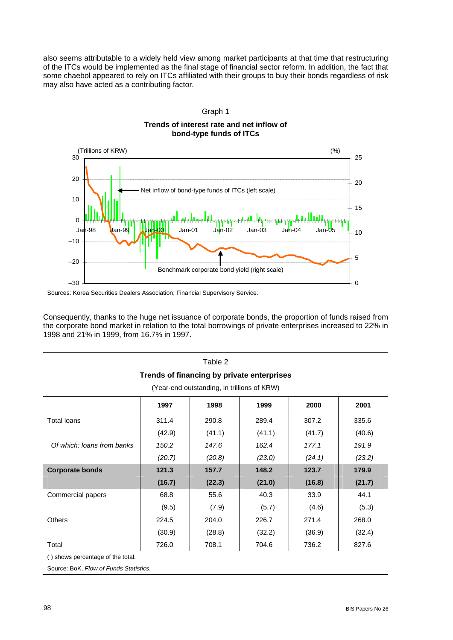also seems attributable to a widely held view among market participants at that time that restructuring of the ITCs would be implemented as the final stage of financial sector reform. In addition, the fact that some chaebol appeared to rely on ITCs affiliated with their groups to buy their bonds regardless of risk may also have acted as a contributing factor.

Graph 1



# Sources: Korea Securities Dealers Association; Financial Supervisory Service.

Consequently, thanks to the huge net issuance of corporate bonds, the proportion of funds raised from the corporate bond market in relation to the total borrowings of private enterprises increased to 22% in 1998 and 21% in 1999, from 16.7% in 1997.

|                                            |        | Table 2                                     |        |        |        |  |  |  |
|--------------------------------------------|--------|---------------------------------------------|--------|--------|--------|--|--|--|
| Trends of financing by private enterprises |        |                                             |        |        |        |  |  |  |
|                                            |        | (Year-end outstanding, in trillions of KRW) |        |        |        |  |  |  |
| 2001<br>1997<br>1998<br>1999<br>2000       |        |                                             |        |        |        |  |  |  |
| Total loans                                | 311.4  | 290.8                                       | 289.4  | 307.2  | 335.6  |  |  |  |
|                                            | (42.9) | (41.1)                                      | (41.1) | (41.7) | (40.6) |  |  |  |
| Of which: loans from banks                 | 150.2  | 147.6                                       | 162.4  | 177.1  | 191.9  |  |  |  |
|                                            | (20.7) | (20.8)                                      | (23.0) | (24.1) | (23.2) |  |  |  |
| <b>Corporate bonds</b>                     | 121.3  | 157.7                                       | 148.2  | 123.7  | 179.9  |  |  |  |
|                                            | (16.7) | (22.3)                                      | (21.0) | (16.8) | (21.7) |  |  |  |
| Commercial papers                          | 68.8   | 55.6                                        | 40.3   | 33.9   | 44.1   |  |  |  |
|                                            | (9.5)  | (7.9)                                       | (5.7)  | (4.6)  | (5.3)  |  |  |  |
| <b>Others</b>                              | 224.5  | 204.0                                       | 226.7  | 271.4  | 268.0  |  |  |  |
|                                            | (30.9) | (28.8)                                      | (32.2) | (36.9) | (32.4) |  |  |  |
| Total                                      | 726.0  | 708.1                                       | 704.6  | 736.2  | 827.6  |  |  |  |

Source: BoK, *Flow of Funds Statistics*.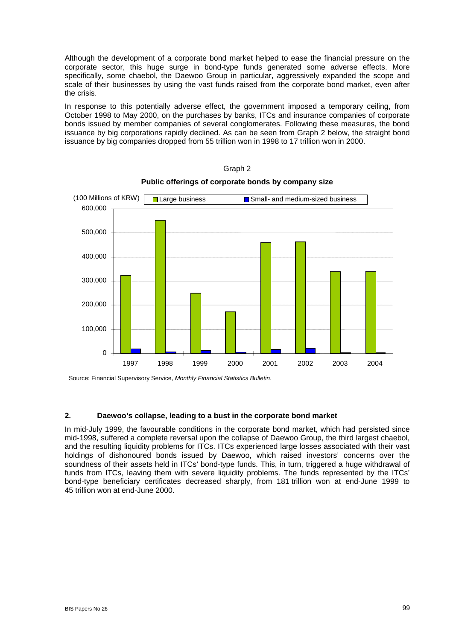Although the development of a corporate bond market helped to ease the financial pressure on the corporate sector, this huge surge in bond-type funds generated some adverse effects. More specifically, some chaebol, the Daewoo Group in particular, aggressively expanded the scope and scale of their businesses by using the vast funds raised from the corporate bond market, even after the crisis.

In response to this potentially adverse effect, the government imposed a temporary ceiling, from October 1998 to May 2000, on the purchases by banks, ITCs and insurance companies of corporate bonds issued by member companies of several conglomerates. Following these measures, the bond issuance by big corporations rapidly declined. As can be seen from Graph 2 below, the straight bond issuance by big companies dropped from 55 trillion won in 1998 to 17 trillion won in 2000.



# Graph 2 **Public offerings of corporate bonds by company size**

Source: Financial Supervisory Service, *Monthly Financial Statistics Bulletin*.

### **2. Daewoo's collapse, leading to a bust in the corporate bond market**

In mid-July 1999, the favourable conditions in the corporate bond market, which had persisted since mid-1998, suffered a complete reversal upon the collapse of Daewoo Group, the third largest chaebol, and the resulting liquidity problems for ITCs. ITCs experienced large losses associated with their vast holdings of dishonoured bonds issued by Daewoo, which raised investors' concerns over the soundness of their assets held in ITCs' bond-type funds. This, in turn, triggered a huge withdrawal of funds from ITCs, leaving them with severe liquidity problems. The funds represented by the ITCs' bond-type beneficiary certificates decreased sharply, from 181 trillion won at end-June 1999 to 45 trillion won at end-June 2000.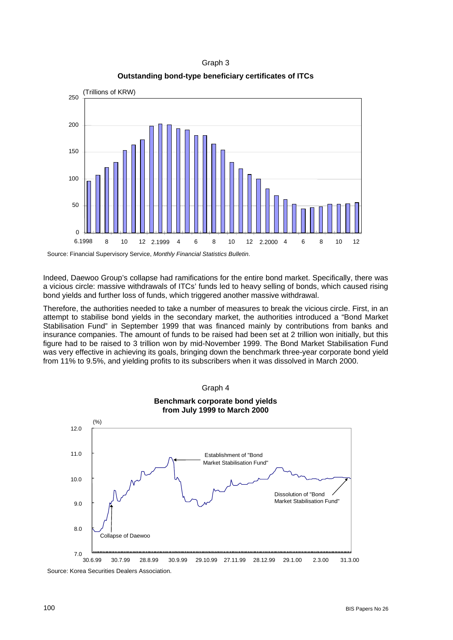Graph 3 **Outstanding bond-type beneficiary certificates of ITCs** 



Indeed, Daewoo Group's collapse had ramifications for the entire bond market. Specifically, there was a vicious circle: massive withdrawals of ITCs' funds led to heavy selling of bonds, which caused rising bond yields and further loss of funds, which triggered another massive withdrawal.

Therefore, the authorities needed to take a number of measures to break the vicious circle. First, in an attempt to stabilise bond yields in the secondary market, the authorities introduced a "Bond Market Stabilisation Fund" in September 1999 that was financed mainly by contributions from banks and insurance companies. The amount of funds to be raised had been set at 2 trillion won initially, but this figure had to be raised to 3 trillion won by mid-November 1999. The Bond Market Stabilisation Fund was very effective in achieving its goals, bringing down the benchmark three-year corporate bond yield from 11% to 9.5%, and yielding profits to its subscribers when it was dissolved in March 2000.



Source: Korea Securities Dealers Association.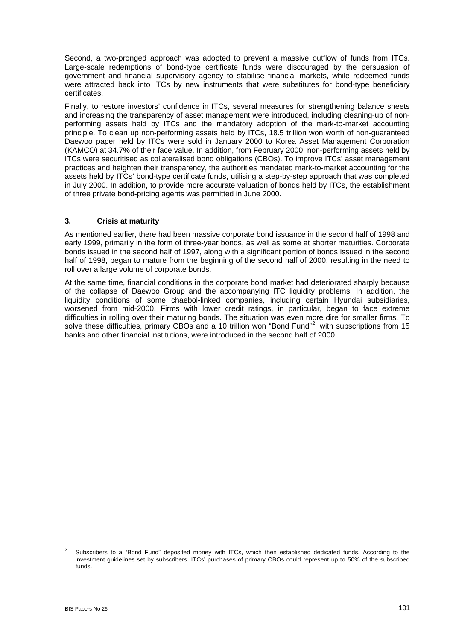Second, a two-pronged approach was adopted to prevent a massive outflow of funds from ITCs. Large-scale redemptions of bond-type certificate funds were discouraged by the persuasion of government and financial supervisory agency to stabilise financial markets, while redeemed funds were attracted back into ITCs by new instruments that were substitutes for bond-type beneficiary certificates.

Finally, to restore investors' confidence in ITCs, several measures for strengthening balance sheets and increasing the transparency of asset management were introduced, including cleaning-up of nonperforming assets held by ITCs and the mandatory adoption of the mark-to-market accounting principle. To clean up non-performing assets held by ITCs, 18.5 trillion won worth of non-guaranteed Daewoo paper held by ITCs were sold in January 2000 to Korea Asset Management Corporation (KAMCO) at 34.7% of their face value. In addition, from February 2000, non-performing assets held by ITCs were securitised as collateralised bond obligations (CBOs). To improve ITCs' asset management practices and heighten their transparency, the authorities mandated mark-to-market accounting for the assets held by ITCs' bond-type certificate funds, utilising a step-by-step approach that was completed in July 2000. In addition, to provide more accurate valuation of bonds held by ITCs, the establishment of three private bond-pricing agents was permitted in June 2000.

### **3. Crisis at maturity**

As mentioned earlier, there had been massive corporate bond issuance in the second half of 1998 and early 1999, primarily in the form of three-year bonds, as well as some at shorter maturities. Corporate bonds issued in the second half of 1997, along with a significant portion of bonds issued in the second half of 1998, began to mature from the beginning of the second half of 2000, resulting in the need to roll over a large volume of corporate bonds.

At the same time, financial conditions in the corporate bond market had deteriorated sharply because of the collapse of Daewoo Group and the accompanying ITC liquidity problems. In addition, the liquidity conditions of some chaebol-linked companies, including certain Hyundai subsidiaries, worsened from mid-2000. Firms with lower credit ratings, in particular, began to face extreme difficulties in rolling over their maturing bonds. The situation was even more dire for smaller firms. To solve these difficulties, primary CBOs and a 10 trillion won "Bond Fund"<sup>[2](#page-5-0)</sup>, with subscriptions from 15 banks and other financial institutions, were introduced in the second half of 2000.

-

<span id="page-5-0"></span><sup>2</sup> Subscribers to a "Bond Fund" deposited money with ITCs, which then established dedicated funds. According to the investment guidelines set by subscribers, ITCs' purchases of primary CBOs could represent up to 50% of the subscribed funds.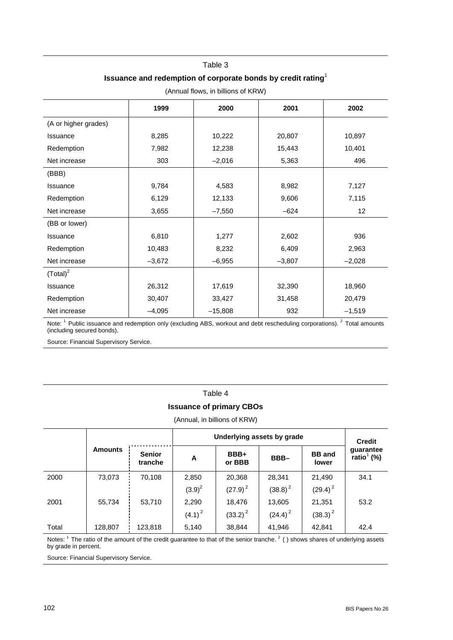# Table 3

# **Issuance and redemption of corporate bonds by credit rating**<sup>1</sup>

|                      | 1999     | 2000      | 2001     | 2002     |
|----------------------|----------|-----------|----------|----------|
| (A or higher grades) |          |           |          |          |
| <b>Issuance</b>      | 8,285    | 10,222    | 20,807   | 10,897   |
| Redemption           | 7,982    | 12,238    | 15,443   | 10,401   |
| Net increase         | 303      | $-2,016$  | 5,363    | 496      |
| (BBB)                |          |           |          |          |
| Issuance             | 9,784    | 4,583     | 8,982    | 7,127    |
| Redemption           | 6,129    | 12,133    | 9,606    | 7,115    |
| Net increase         | 3,655    | $-7,550$  | $-624$   | 12       |
| (BB or lower)        |          |           |          |          |
| Issuance             | 6,810    | 1,277     | 2,602    | 936      |
| Redemption           | 10,483   | 8,232     | 6,409    | 2,963    |
| Net increase         | $-3,672$ | $-6,955$  | $-3,807$ | $-2,028$ |
| $(Total)^2$          |          |           |          |          |
| <b>Issuance</b>      | 26,312   | 17,619    | 32,390   | 18,960   |
| Redemption           | 30,407   | 33,427    | 31,458   | 20,479   |
| Net increase         | $-4,095$ | $-15,808$ | 932      | $-1,519$ |

(Annual flows, in billions of KRW)

Note: <sup>1</sup> Public issuance and redemption only (excluding ABS, workout and debt rescheduling corporations). <sup>2</sup> Total amounts (including secured bonds).

Source: Financial Supervisory Service.

#### Table 4

# **Issuance of primary CBOs**

(Annual, in billions of KRW)

|       |                |                          | Underlying assets by grade | <b>Credit</b>  |            |                               |                                     |
|-------|----------------|--------------------------|----------------------------|----------------|------------|-------------------------------|-------------------------------------|
|       | <b>Amounts</b> | <b>Senior</b><br>tranche | A                          | BBB+<br>or BBB | BBB-       | <b>BB</b> and<br><b>lower</b> | quarantee<br>ratio <sup>1</sup> (%) |
| 2000  | 73,073         | 70,108                   | 2,850                      | 20,368         | 28,341     | 21,490                        | 34.1                                |
|       |                |                          | $(3.9)^2$                  | $(27.9)^2$     | $(38.8)^2$ | $(29.4)^2$                    |                                     |
| 2001  | 55,734         | 53,710                   | 2,290                      | 18,476         | 13,605     | 21,351                        | 53.2                                |
|       |                |                          | $(4.1)^2$                  | $(33.2)^2$     | $(24.4)^2$ | $(38.3)^2$                    |                                     |
| Total | 128,807        | 123,818                  | 5,140                      | 38,844         | 41,946     | 42,841                        | 42.4                                |

Notes:  $1$  The ratio of the amount of the credit guarantee to that of the senior tranche.  $2$  () shows shares of underlying assets by grade in percent.

Source: Financial Supervisory Service.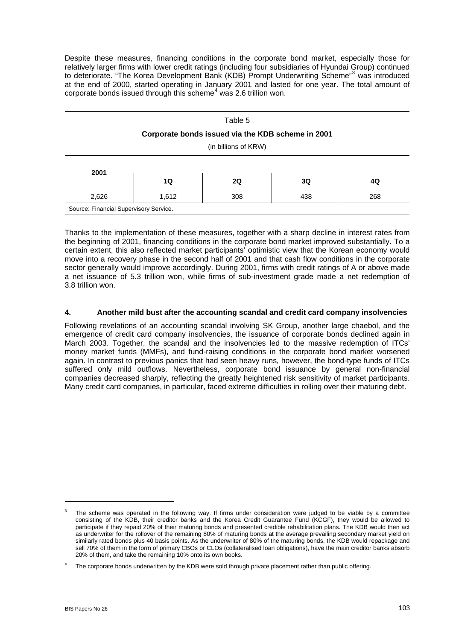Despite these measures, financing conditions in the corporate bond market, especially those for relatively larger firms with lower credit ratings (including four subsidiaries of Hyundai Group) continued to deteriorate. "The Korea Development Bank (KDB) Prompt Underwriting Scheme"<sup>[3](#page-7-0)</sup> was introduced at the end of 2000, started operating in January 2001 and lasted for one year. The total amount of corporate bonds issued through this scheme $4$  was 2.6 trillion won.

#### Table 5

#### **Corporate bonds issued via the KDB scheme in 2001**

(in billions of KRW)

| 2001                                   |       |     |     |     |  |  |
|----------------------------------------|-------|-----|-----|-----|--|--|
|                                        | 1Q    | 2Q  | 3Q  | 4Q  |  |  |
| 2,626                                  | 1,612 | 308 | 438 | 268 |  |  |
| Source: Financial Supervisory Service. |       |     |     |     |  |  |

Thanks to the implementation of these measures, together with a sharp decline in interest rates from the beginning of 2001, financing conditions in the corporate bond market improved substantially. To a certain extent, this also reflected market participants' optimistic view that the Korean economy would move into a recovery phase in the second half of 2001 and that cash flow conditions in the corporate sector generally would improve accordingly. During 2001, firms with credit ratings of A or above made a net issuance of 5.3 trillion won, while firms of sub-investment grade made a net redemption of 3.8 trillion won.

### **4. Another mild bust after the accounting scandal and credit card company insolvencies**

Following revelations of an accounting scandal involving SK Group, another large chaebol, and the emergence of credit card company insolvencies, the issuance of corporate bonds declined again in March 2003. Together, the scandal and the insolvencies led to the massive redemption of ITCs' money market funds (MMFs), and fund-raising conditions in the corporate bond market worsened again. In contrast to previous panics that had seen heavy runs, however, the bond-type funds of ITCs suffered only mild outflows. Nevertheless, corporate bond issuance by general non-financial companies decreased sharply, reflecting the greatly heightened risk sensitivity of market participants. Many credit card companies, in particular, faced extreme difficulties in rolling over their maturing debt.

1

<span id="page-7-0"></span><sup>3</sup> The scheme was operated in the following way. If firms under consideration were judged to be viable by a committee consisting of the KDB, their creditor banks and the Korea Credit Guarantee Fund (KCGF), they would be allowed to participate if they repaid 20% of their maturing bonds and presented credible rehabilitation plans. The KDB would then act as underwriter for the rollover of the remaining 80% of maturing bonds at the average prevailing secondary market yield on similarly rated bonds plus 40 basis points. As the underwriter of 80% of the maturing bonds, the KDB would repackage and sell 70% of them in the form of primary CBOs or CLOs (collateralised loan obligations), have the main creditor banks absorb 20% of them, and take the remaining 10% onto its own books.

<span id="page-7-1"></span><sup>4</sup> The corporate bonds underwritten by the KDB were sold through private placement rather than public offering.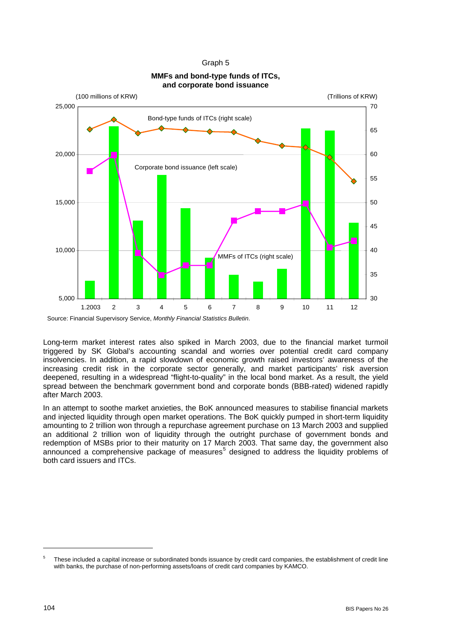

**MMFs and bond-type funds of ITCs, and corporate bond issuance** 



Source: Financial Supervisory Service, *Monthly Financial Statistics Bulletin*.

Long-term market interest rates also spiked in March 2003, due to the financial market turmoil triggered by SK Global's accounting scandal and worries over potential credit card company insolvencies. In addition, a rapid slowdown of economic growth raised investors' awareness of the increasing credit risk in the corporate sector generally, and market participants' risk aversion deepened, resulting in a widespread "flight-to-quality" in the local bond market. As a result, the yield spread between the benchmark government bond and corporate bonds (BBB-rated) widened rapidly after March 2003.

In an attempt to soothe market anxieties, the BoK announced measures to stabilise financial markets and injected liquidity through open market operations. The BoK quickly pumped in short-term liquidity amounting to 2 trillion won through a repurchase agreement purchase on 13 March 2003 and supplied an additional 2 trillion won of liquidity through the outright purchase of government bonds and redemption of MSBs prior to their maturity on 17 March 2003. That same day, the government also announced a comprehensive package of measures<sup>[5](#page-8-0)</sup> designed to address the liquidity problems of both card issuers and ITCs.

l

<span id="page-8-0"></span><sup>5</sup> These included a capital increase or subordinated bonds issuance by credit card companies, the establishment of credit line with banks, the purchase of non-performing assets/loans of credit card companies by KAMCO.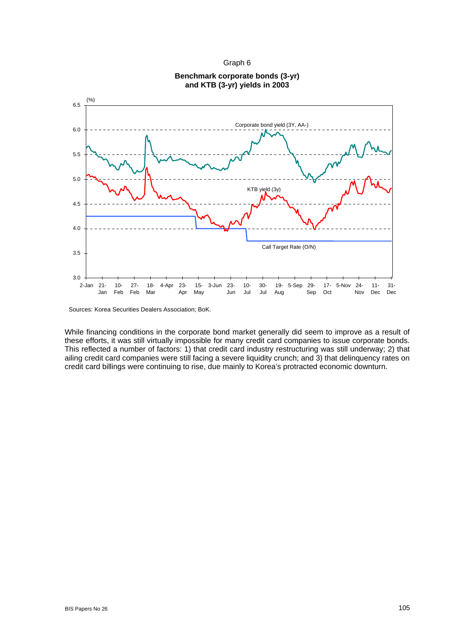

**Benchmark corporate bonds (3-yr) and KTB (3-yr) yields in 2003** 



Sources: Korea Securities Dealers Association; BoK.

While financing conditions in the corporate bond market generally did seem to improve as a result of these efforts, it was still virtually impossible for many credit card companies to issue corporate bonds. This reflected a number of factors: 1) that credit card industry restructuring was still underway; 2) that ailing credit card companies were still facing a severe liquidity crunch; and 3) that delinquency rates on credit card billings were continuing to rise, due mainly to Korea's protracted economic downturn.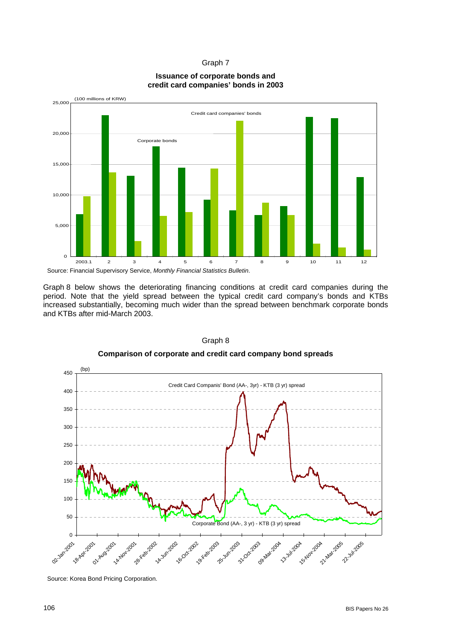# Graph 7

#### **Issuance of corporate bonds and credit card companies' bonds in 2003**



Source: Financial Supervisory Service, *Monthly Financial Statistics Bulletin*.

Graph 8 below shows the deteriorating financing conditions at credit card companies during the period. Note that the yield spread between the typical credit card company's bonds and KTBs increased substantially, becoming much wider than the spread between benchmark corporate bonds and KTBs after mid-March 2003.



#### Graph 8

Source: Korea Bond Pricing Corporation.

**Comparison of corporate and credit card company bond spreads**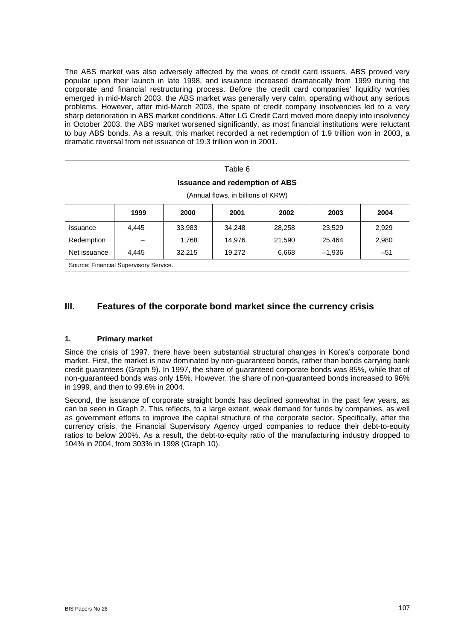The ABS market was also adversely affected by the woes of credit card issuers. ABS proved very popular upon their launch in late 1998, and issuance increased dramatically from 1999 during the corporate and financial restructuring process. Before the credit card companies' liquidity worries emerged in mid-March 2003, the ABS market was generally very calm, operating without any serious problems. However, after mid-March 2003, the spate of credit company insolvencies led to a very sharp deterioration in ABS market conditions. After LG Credit Card moved more deeply into insolvency in October 2003, the ABS market worsened significantly, as most financial institutions were reluctant to buy ABS bonds. As a result, this market recorded a net redemption of 1.9 trillion won in 2003, a dramatic reversal from net issuance of 19.3 trillion won in 2001.

#### Table 6

### **Issuance and redemption of ABS**

|                                        | 1999  | 2000   | 2001   | 2002   | 2003     | 2004  |  |
|----------------------------------------|-------|--------|--------|--------|----------|-------|--|
| Issuance                               | 4,445 | 33,983 | 34,248 | 28,258 | 23,529   | 2,929 |  |
| Redemption                             |       | 1,768  | 14.976 | 21,590 | 25,464   | 2,980 |  |
| Net issuance                           | 4.445 | 32.215 | 19.272 | 6,668  | $-1.936$ | $-51$ |  |
| Source: Financial Supervisory Service. |       |        |        |        |          |       |  |

(Annual flows, in billions of KRW)

# **III. Features of the corporate bond market since the currency crisis**

# **1. Primary market**

Since the crisis of 1997, there have been substantial structural changes in Korea's corporate bond market. First, the market is now dominated by non-guaranteed bonds, rather than bonds carrying bank credit guarantees (Graph 9). In 1997, the share of guaranteed corporate bonds was 85%, while that of non-guaranteed bonds was only 15%. However, the share of non-guaranteed bonds increased to 96% in 1999, and then to 99.6% in 2004.

Second, the issuance of corporate straight bonds has declined somewhat in the past few years, as can be seen in Graph 2. This reflects, to a large extent, weak demand for funds by companies, as well as government efforts to improve the capital structure of the corporate sector. Specifically, after the currency crisis, the Financial Supervisory Agency urged companies to reduce their debt-to-equity ratios to below 200%. As a result, the debt-to-equity ratio of the manufacturing industry dropped to 104% in 2004, from 303% in 1998 (Graph 10).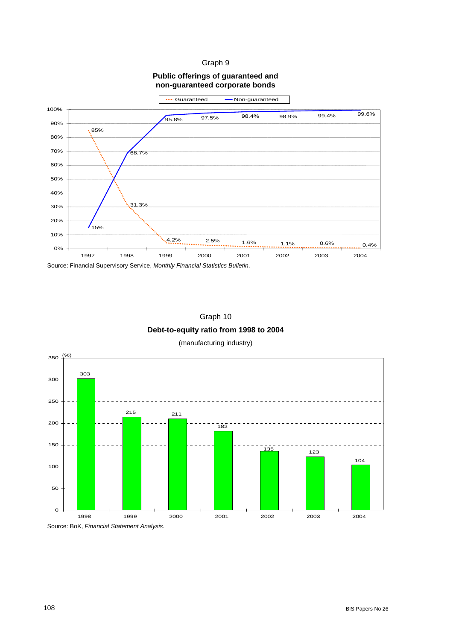### Graph 9

# **Public offerings of guaranteed and non-guaranteed corporate bonds**







(manufacturing industry)

Source: BoK, *Financial Statement Analysis*.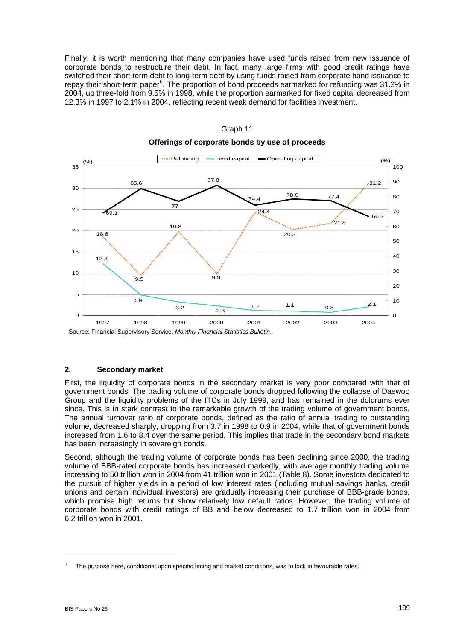Finally, it is worth mentioning that many companies have used funds raised from new issuance of corporate bonds to restructure their debt. In fact, many large firms with good credit ratings have switched their short-term debt to long-term debt by using funds raised from corporate bond issuance to repay their short-term paper<sup>[6](#page-13-0)</sup>. The proportion of bond proceeds earmarked for refunding was 31.2% in 2004, up three-fold from 9.5% in 1998, while the proportion earmarked for fixed capital decreased from 12.3% in 1997 to 2.1% in 2004, reflecting recent weak demand for facilities investment.



# Graph 11 **Offerings of corporate bonds by use of proceeds**

Source: Financial Supervisory Service, *Monthly Financial Statistics Bulletin*.

# **2. Secondary market**

First, the liquidity of corporate bonds in the secondary market is very poor compared with that of government bonds. The trading volume of corporate bonds dropped following the collapse of Daewoo Group and the liquidity problems of the ITCs in July 1999, and has remained in the doldrums ever since. This is in stark contrast to the remarkable growth of the trading volume of government bonds. The annual turnover ratio of corporate bonds, defined as the ratio of annual trading to outstanding volume, decreased sharply, dropping from 3.7 in 1998 to 0.9 in 2004, while that of government bonds increased from 1.6 to 8.4 over the same period. This implies that trade in the secondary bond markets has been increasingly in sovereign bonds.

Second, although the trading volume of corporate bonds has been declining since 2000, the trading volume of BBB-rated corporate bonds has increased markedly, with average monthly trading volume increasing to 50 trillion won in 2004 from 41 trillion won in 2001 (Table 8). Some investors dedicated to the pursuit of higher yields in a period of low interest rates (including mutual savings banks, credit unions and certain individual investors) are gradually increasing their purchase of BBB-grade bonds, which promise high returns but show relatively low default ratios. However, the trading volume of corporate bonds with credit ratings of BB and below decreased to 1.7 trillion won in 2004 from 6.2 trillion won in 2001.

-

<span id="page-13-0"></span><sup>6</sup> The purpose here, conditional upon specific timing and market conditions, was to lock in favourable rates.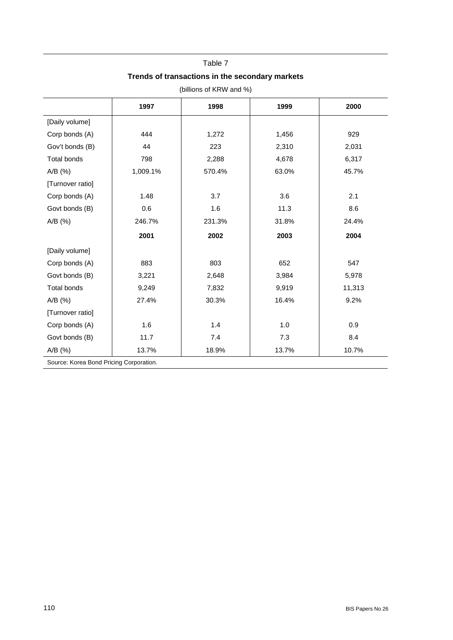# Table 7

# **Trends of transactions in the secondary markets**

(billions of KRW and %)

|                    | 1997     | 1998   | 1999  | 2000   |
|--------------------|----------|--------|-------|--------|
| [Daily volume]     |          |        |       |        |
| Corp bonds (A)     | 444      | 1,272  | 1,456 | 929    |
| Gov't bonds (B)    | 44       | 223    | 2,310 | 2,031  |
| <b>Total bonds</b> | 798      | 2,288  | 4,678 | 6,317  |
| $A/B$ (%)          | 1,009.1% | 570.4% | 63.0% | 45.7%  |
| [Turnover ratio]   |          |        |       |        |
| Corp bonds (A)     | 1.48     | 3.7    | 3.6   | 2.1    |
| Govt bonds (B)     | 0.6      | 1.6    | 11.3  | 8.6    |
| $A/B$ (%)          | 246.7%   | 231.3% | 31.8% | 24.4%  |
|                    | 2001     | 2002   | 2003  | 2004   |
| [Daily volume]     |          |        |       |        |
| Corp bonds (A)     | 883      | 803    | 652   | 547    |
| Govt bonds (B)     | 3,221    | 2,648  | 3,984 | 5,978  |
| Total bonds        | 9,249    | 7,832  | 9,919 | 11,313 |
| $A/B$ (%)          | 27.4%    | 30.3%  | 16.4% | 9.2%   |
| [Turnover ratio]   |          |        |       |        |
| Corp bonds (A)     | 1.6      | 1.4    | 1.0   | 0.9    |
| Govt bonds (B)     | 11.7     | 7.4    | 7.3   | 8.4    |
| A/B (%)            | 13.7%    | 18.9%  | 13.7% | 10.7%  |

Source: Korea Bond Pricing Corporation.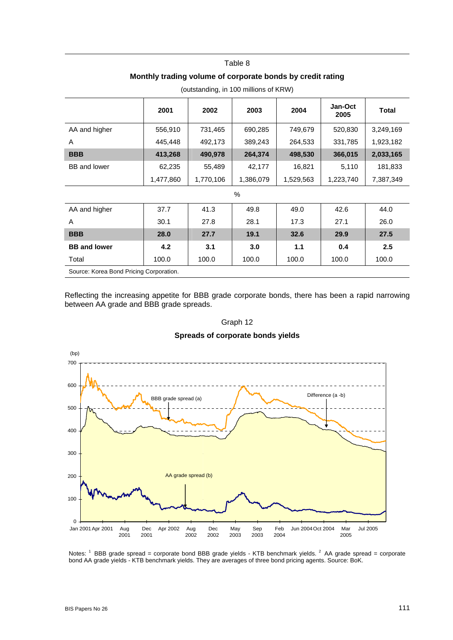#### Table 8

# **Monthly trading volume of corporate bonds by credit rating**

|                                         | 2001      | 2002      | 2003      | 2004      | Jan-Oct<br>2005 | <b>Total</b> |
|-----------------------------------------|-----------|-----------|-----------|-----------|-----------------|--------------|
| AA and higher                           | 556,910   | 731,465   | 690,285   | 749,679   | 520,830         | 3,249,169    |
| A                                       | 445,448   | 492,173   | 389,243   | 264,533   | 331,785         | 1,923,182    |
| <b>BBB</b>                              | 413,268   | 490,978   | 264,374   | 498,530   | 366,015         | 2,033,165    |
| <b>BB</b> and lower                     | 62,235    | 55,489    | 42,177    | 16,821    | 5,110           | 181,833      |
|                                         | 1,477,860 | 1,770,106 | 1,386,079 | 1,529,563 | 1,223,740       | 7,387,349    |
|                                         |           |           | %         |           |                 |              |
| AA and higher                           | 37.7      | 41.3      | 49.8      | 49.0      | 42.6            | 44.0         |
| A                                       | 30.1      | 27.8      | 28.1      | 17.3      | 27.1            | 26.0         |
| <b>BBB</b>                              | 28.0      | 27.7      | 19.1      | 32.6      | 29.9            | 27.5         |
| <b>BB</b> and lower                     | 4.2       | 3.1       | 3.0       | 1.1       | 0.4             | 2.5          |
| Total                                   | 100.0     | 100.0     | 100.0     | 100.0     | 100.0           | 100.0        |
| Source: Korea Bond Pricing Corporation. |           |           |           |           |                 |              |

(outstanding, in 100 millions of KRW)

Reflecting the increasing appetite for BBB grade corporate bonds, there has been a rapid narrowing between AA grade and BBB grade spreads.



### **Spreads of corporate bonds yields**



Notes:  $1$  BBB grade spread = corporate bond BBB grade yields - KTB benchmark yields.  $2$  AA grade spread = corporate bond AA grade yields - KTB benchmark yields. They are averages of three bond pricing agents. Source: BoK.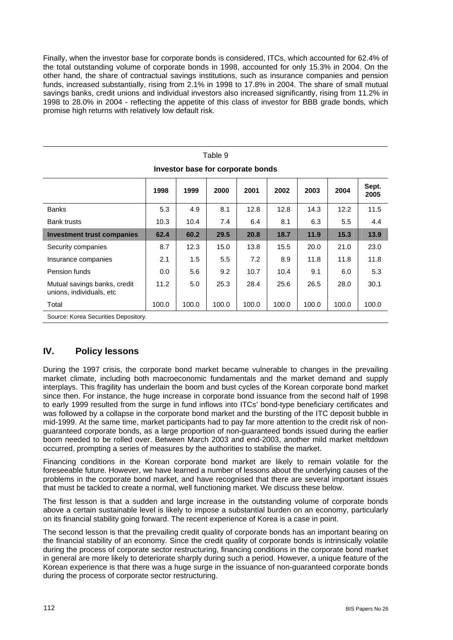Finally, when the investor base for corporate bonds is considered, ITCs, which accounted for 62.4% of the total outstanding volume of corporate bonds in 1998, accounted for only 15.3% in 2004. On the other hand, the share of contractual savings institutions, such as insurance companies and pension funds, increased substantially, rising from 2.1% in 1998 to 17.8% in 2004. The share of small mutual savings banks, credit unions and individual investors also increased significantly, rising from 11.2% in 1998 to 28.0% in 2004 - reflecting the appetite of this class of investor for BBB grade bonds, which promise high returns with relatively low default risk.

| investor pase for corporate bonds                         |       |       |       |       |       |       |       |               |
|-----------------------------------------------------------|-------|-------|-------|-------|-------|-------|-------|---------------|
|                                                           | 1998  | 1999  | 2000  | 2001  | 2002  | 2003  | 2004  | Sept.<br>2005 |
| <b>Banks</b>                                              | 5.3   | 4.9   | 8.1   | 12.8  | 12.8  | 14.3  | 12.2  | 11.5          |
| <b>Bank trusts</b>                                        | 10.3  | 10.4  | 7.4   | 6.4   | 8.1   | 6.3   | 5.5   | 4.4           |
| <b>Investment trust companies</b>                         | 62.4  | 60.2  | 29.5  | 20.8  | 18.7  | 11.9  | 15.3  | 13.9          |
| Security companies                                        | 8.7   | 12.3  | 15.0  | 13.8  | 15.5  | 20.0  | 21.0  | 23.0          |
| Insurance companies                                       | 2.1   | 1.5   | 5.5   | 7.2   | 8.9   | 11.8  | 11.8  | 11.8          |
| Pension funds                                             | 0.0   | 5.6   | 9.2   | 10.7  | 10.4  | 9.1   | 6.0   | 5.3           |
| Mutual savings banks, credit<br>unions, individuals, etc. | 11.2  | 5.0   | 25.3  | 28.4  | 25.6  | 26.5  | 28.0  | 30.1          |
| Total                                                     | 100.0 | 100.0 | 100.0 | 100.0 | 100.0 | 100.0 | 100.0 | 100.0         |
| Source: Korea Securities Depository.                      |       |       |       |       |       |       |       |               |

| Table 9                           |  |
|-----------------------------------|--|
| Investor base for corporate bonds |  |

# **IV. Policy lessons**

During the 1997 crisis, the corporate bond market became vulnerable to changes in the prevailing market climate, including both macroeconomic fundamentals and the market demand and supply interplays. This fragility has underlain the boom and bust cycles of the Korean corporate bond market since then. For instance, the huge increase in corporate bond issuance from the second half of 1998 to early 1999 resulted from the surge in fund inflows into ITCs' bond-type beneficiary certificates and was followed by a collapse in the corporate bond market and the bursting of the ITC deposit bubble in mid-1999. At the same time, market participants had to pay far more attention to the credit risk of nonguaranteed corporate bonds, as a large proportion of non-guaranteed bonds issued during the earlier boom needed to be rolled over. Between March 2003 and end-2003, another mild market meltdown occurred, prompting a series of measures by the authorities to stabilise the market.

Financing conditions in the Korean corporate bond market are likely to remain volatile for the foreseeable future. However, we have learned a number of lessons about the underlying causes of the problems in the corporate bond market, and have recognised that there are several important issues that must be tackled to create a normal, well functioning market. We discuss these below.

The first lesson is that a sudden and large increase in the outstanding volume of corporate bonds above a certain sustainable level is likely to impose a substantial burden on an economy, particularly on its financial stability going forward. The recent experience of Korea is a case in point.

The second lesson is that the prevailing credit quality of corporate bonds has an important bearing on the financial stability of an economy. Since the credit quality of corporate bonds is intrinsically volatile during the process of corporate sector restructuring, financing conditions in the corporate bond market in general are more likely to deteriorate sharply during such a period. However, a unique feature of the Korean experience is that there was a huge surge in the issuance of non-guaranteed corporate bonds during the process of corporate sector restructuring.